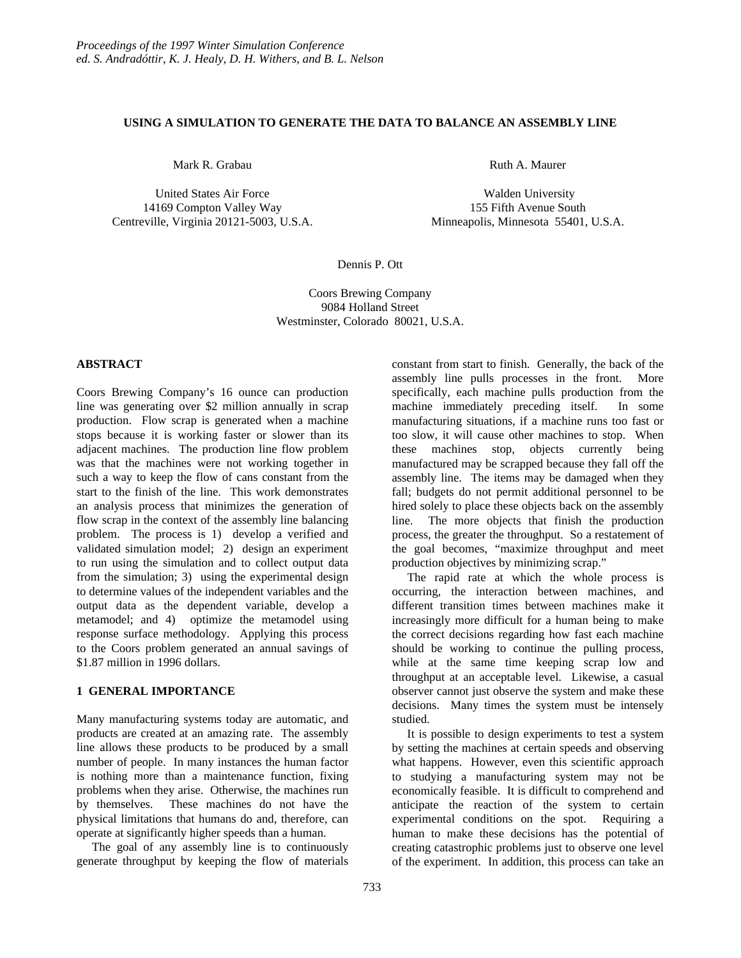## **USING A SIMULATION TO GENERATE THE DATA TO BALANCE AN ASSEMBLY LINE**

Mark R. Grabau

United States Air Force 14169 Compton Valley Way Centreville, Virginia 20121-5003, U.S.A. Ruth A. Maurer

 Walden University 155 Fifth Avenue South Minneapolis, Minnesota 55401, U.S.A.

Dennis P. Ott

Coors Brewing Company 9084 Holland Street Westminster, Colorado 80021, U.S.A.

#### **ABSTRACT**

Coors Brewing Company's 16 ounce can production line was generating over \$2 million annually in scrap production. Flow scrap is generated when a machine stops because it is working faster or slower than its adjacent machines. The production line flow problem was that the machines were not working together in such a way to keep the flow of cans constant from the start to the finish of the line. This work demonstrates an analysis process that minimizes the generation of flow scrap in the context of the assembly line balancing problem. The process is 1) develop a verified and validated simulation model; 2) design an experiment to run using the simulation and to collect output data from the simulation; 3) using the experimental design to determine values of the independent variables and the output data as the dependent variable, develop a metamodel; and 4) optimize the metamodel using response surface methodology. Applying this process to the Coors problem generated an annual savings of \$1.87 million in 1996 dollars.

### **1 GENERAL IMPORTANCE**

Many manufacturing systems today are automatic, and products are created at an amazing rate. The assembly line allows these products to be produced by a small number of people. In many instances the human factor is nothing more than a maintenance function, fixing problems when they arise. Otherwise, the machines run by themselves. These machines do not have the physical limitations that humans do and, therefore, can operate at significantly higher speeds than a human.

 The goal of any assembly line is to continuously generate throughput by keeping the flow of materials

constant from start to finish. Generally, the back of the assembly line pulls processes in the front. More specifically, each machine pulls production from the machine immediately preceding itself. In some manufacturing situations, if a machine runs too fast or too slow, it will cause other machines to stop. When these machines stop, objects currently being manufactured may be scrapped because they fall off the assembly line. The items may be damaged when they fall; budgets do not permit additional personnel to be hired solely to place these objects back on the assembly line. The more objects that finish the production process, the greater the throughput. So a restatement of the goal becomes, "maximize throughput and meet production objectives by minimizing scrap."

 The rapid rate at which the whole process is occurring, the interaction between machines, and different transition times between machines make it increasingly more difficult for a human being to make the correct decisions regarding how fast each machine should be working to continue the pulling process, while at the same time keeping scrap low and throughput at an acceptable level. Likewise, a casual observer cannot just observe the system and make these decisions. Many times the system must be intensely studied.

 It is possible to design experiments to test a system by setting the machines at certain speeds and observing what happens. However, even this scientific approach to studying a manufacturing system may not be economically feasible. It is difficult to comprehend and anticipate the reaction of the system to certain experimental conditions on the spot. Requiring a human to make these decisions has the potential of creating catastrophic problems just to observe one level of the experiment. In addition, this process can take an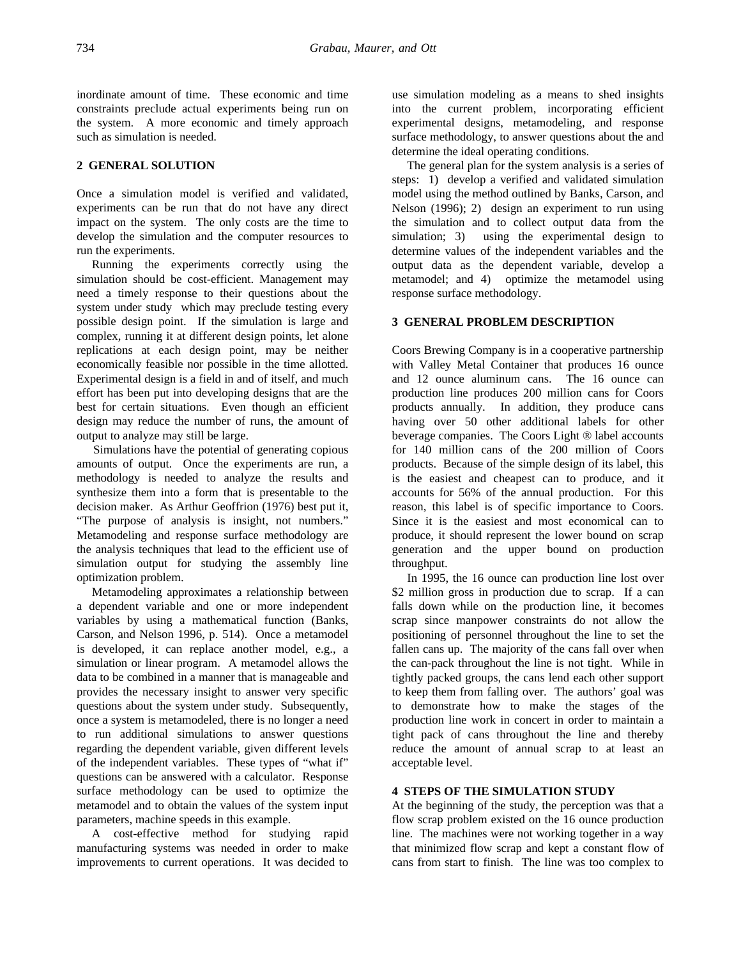inordinate amount of time. These economic and time constraints preclude actual experiments being run on the system. A more economic and timely approach such as simulation is needed.

### **2 GENERAL SOLUTION**

Once a simulation model is verified and validated, experiments can be run that do not have any direct impact on the system. The only costs are the time to develop the simulation and the computer resources to run the experiments.

 Running the experiments correctly using the simulation should be cost-efficient. Management may need a timely response to their questions about the system under study which may preclude testing every possible design point. If the simulation is large and complex, running it at different design points, let alone replications at each design point, may be neither economically feasible nor possible in the time allotted. Experimental design is a field in and of itself, and much effort has been put into developing designs that are the best for certain situations. Even though an efficient design may reduce the number of runs, the amount of output to analyze may still be large.

 Simulations have the potential of generating copious amounts of output. Once the experiments are run, a methodology is needed to analyze the results and synthesize them into a form that is presentable to the decision maker. As Arthur Geoffrion (1976) best put it, "The purpose of analysis is insight, not numbers." Metamodeling and response surface methodology are the analysis techniques that lead to the efficient use of simulation output for studying the assembly line optimization problem.

 Metamodeling approximates a relationship between a dependent variable and one or more independent variables by using a mathematical function (Banks, Carson, and Nelson 1996, p. 514). Once a metamodel is developed, it can replace another model, e.g., a simulation or linear program. A metamodel allows the data to be combined in a manner that is manageable and provides the necessary insight to answer very specific questions about the system under study. Subsequently, once a system is metamodeled, there is no longer a need to run additional simulations to answer questions regarding the dependent variable, given different levels of the independent variables. These types of "what if" questions can be answered with a calculator. Response surface methodology can be used to optimize the metamodel and to obtain the values of the system input parameters, machine speeds in this example.

 A cost-effective method for studying rapid manufacturing systems was needed in order to make improvements to current operations. It was decided to use simulation modeling as a means to shed insights into the current problem, incorporating efficient experimental designs, metamodeling, and response surface methodology, to answer questions about the and determine the ideal operating conditions.

 The general plan for the system analysis is a series of steps: 1) develop a verified and validated simulation model using the method outlined by Banks, Carson, and Nelson (1996); 2) design an experiment to run using the simulation and to collect output data from the simulation; 3) using the experimental design to determine values of the independent variables and the output data as the dependent variable, develop a metamodel; and 4) optimize the metamodel using response surface methodology.

#### **3 GENERAL PROBLEM DESCRIPTION**

Coors Brewing Company is in a cooperative partnership with Valley Metal Container that produces 16 ounce and 12 ounce aluminum cans. The 16 ounce can production line produces 200 million cans for Coors products annually. In addition, they produce cans having over 50 other additional labels for other beverage companies. The Coors Light ® label accounts for 140 million cans of the 200 million of Coors products. Because of the simple design of its label, this is the easiest and cheapest can to produce, and it accounts for 56% of the annual production. For this reason, this label is of specific importance to Coors. Since it is the easiest and most economical can to produce, it should represent the lower bound on scrap generation and the upper bound on production throughput.

 In 1995, the 16 ounce can production line lost over \$2 million gross in production due to scrap. If a can falls down while on the production line, it becomes scrap since manpower constraints do not allow the positioning of personnel throughout the line to set the fallen cans up. The majority of the cans fall over when the can-pack throughout the line is not tight. While in tightly packed groups, the cans lend each other support to keep them from falling over. The authors' goal was to demonstrate how to make the stages of the production line work in concert in order to maintain a tight pack of cans throughout the line and thereby reduce the amount of annual scrap to at least an acceptable level.

## **4 STEPS OF THE SIMULATION STUDY**

At the beginning of the study, the perception was that a flow scrap problem existed on the 16 ounce production line. The machines were not working together in a way that minimized flow scrap and kept a constant flow of cans from start to finish. The line was too complex to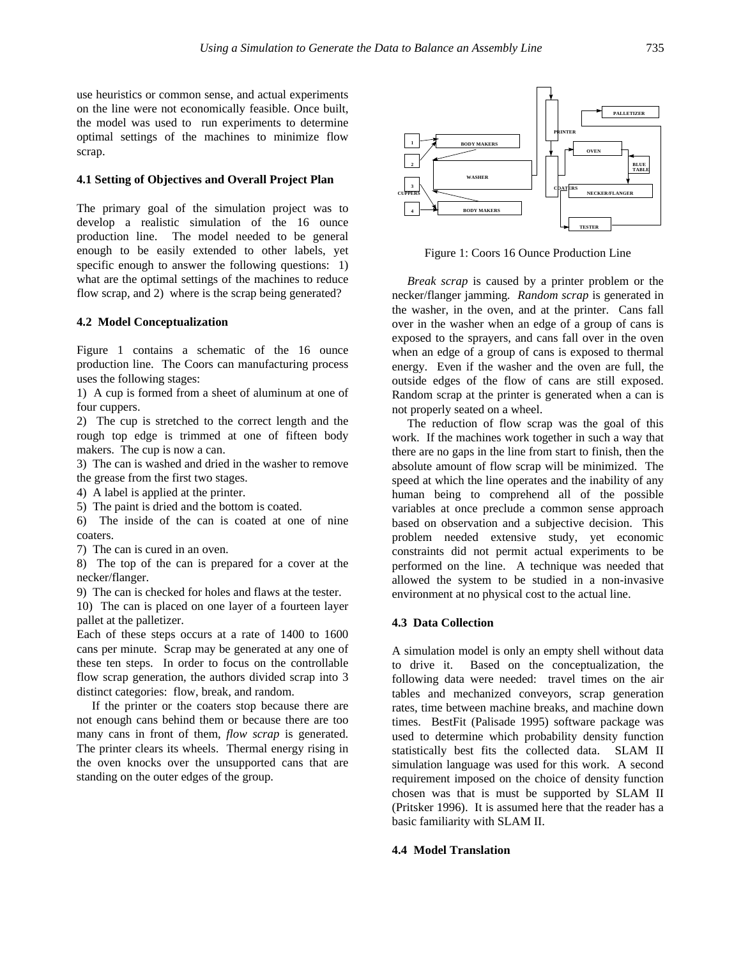use heuristics or common sense, and actual experiments on the line were not economically feasible. Once built, the model was used to run experiments to determine optimal settings of the machines to minimize flow scrap.

## **4.1 Setting of Objectives and Overall Project Plan**

The primary goal of the simulation project was to develop a realistic simulation of the 16 ounce production line. The model needed to be general enough to be easily extended to other labels, yet specific enough to answer the following questions: 1) what are the optimal settings of the machines to reduce flow scrap, and 2) where is the scrap being generated?

#### **4.2 Model Conceptualization**

Figure 1 contains a schematic of the 16 ounce production line. The Coors can manufacturing process uses the following stages:

1) A cup is formed from a sheet of aluminum at one of four cuppers.

2) The cup is stretched to the correct length and the rough top edge is trimmed at one of fifteen body makers. The cup is now a can.

3) The can is washed and dried in the washer to remove the grease from the first two stages.

4) A label is applied at the printer.

5) The paint is dried and the bottom is coated.

6) The inside of the can is coated at one of nine coaters.

7) The can is cured in an oven.

8) The top of the can is prepared for a cover at the necker/flanger.

9) The can is checked for holes and flaws at the tester.

10) The can is placed on one layer of a fourteen layer pallet at the palletizer.

Each of these steps occurs at a rate of 1400 to 1600 cans per minute. Scrap may be generated at any one of these ten steps. In order to focus on the controllable flow scrap generation, the authors divided scrap into 3 distinct categories: flow, break, and random.

 If the printer or the coaters stop because there are not enough cans behind them or because there are too many cans in front of them, *flow scrap* is generated. The printer clears its wheels. Thermal energy rising in the oven knocks over the unsupported cans that are standing on the outer edges of the group.



Figure 1: Coors 16 Ounce Production Line

 *Break scrap* is caused by a printer problem or the necker/flanger jamming*. Random scrap* is generated in the washer, in the oven, and at the printer. Cans fall over in the washer when an edge of a group of cans is exposed to the sprayers, and cans fall over in the oven when an edge of a group of cans is exposed to thermal energy. Even if the washer and the oven are full, the outside edges of the flow of cans are still exposed. Random scrap at the printer is generated when a can is not properly seated on a wheel.

 The reduction of flow scrap was the goal of this work. If the machines work together in such a way that there are no gaps in the line from start to finish, then the absolute amount of flow scrap will be minimized. The speed at which the line operates and the inability of any human being to comprehend all of the possible variables at once preclude a common sense approach based on observation and a subjective decision. This problem needed extensive study, yet economic constraints did not permit actual experiments to be performed on the line. A technique was needed that allowed the system to be studied in a non-invasive environment at no physical cost to the actual line.

#### **4.3 Data Collection**

A simulation model is only an empty shell without data to drive it. Based on the conceptualization, the following data were needed: travel times on the air tables and mechanized conveyors, scrap generation rates, time between machine breaks, and machine down times. BestFit (Palisade 1995) software package was used to determine which probability density function statistically best fits the collected data. SLAM II simulation language was used for this work. A second requirement imposed on the choice of density function chosen was that is must be supported by SLAM II (Pritsker 1996). It is assumed here that the reader has a basic familiarity with SLAM II.

## **4.4 Model Translation**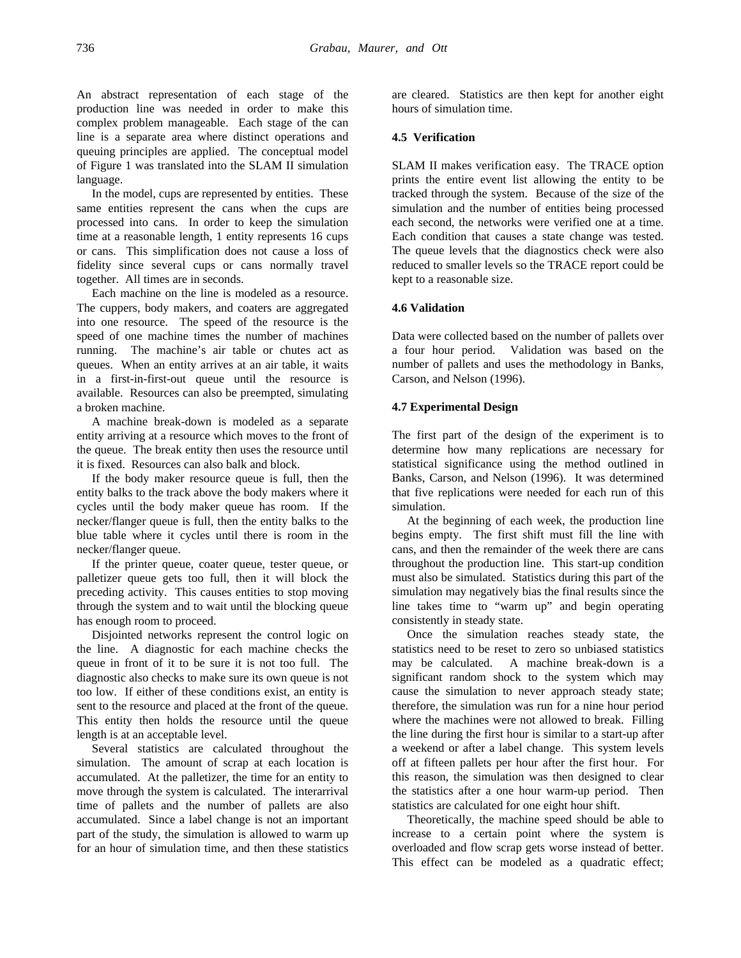An abstract representation of each stage of the production line was needed in order to make this complex problem manageable. Each stage of the can line is a separate area where distinct operations and queuing principles are applied. The conceptual model of Figure 1 was translated into the SLAM II simulation language.

 In the model, cups are represented by entities. These same entities represent the cans when the cups are processed into cans. In order to keep the simulation time at a reasonable length, 1 entity represents 16 cups or cans. This simplification does not cause a loss of fidelity since several cups or cans normally travel together. All times are in seconds.

 Each machine on the line is modeled as a resource. The cuppers, body makers, and coaters are aggregated into one resource. The speed of the resource is the speed of one machine times the number of machines running. The machine's air table or chutes act as queues. When an entity arrives at an air table, it waits in a first-in-first-out queue until the resource is available. Resources can also be preempted, simulating a broken machine.

 A machine break-down is modeled as a separate entity arriving at a resource which moves to the front of the queue. The break entity then uses the resource until it is fixed. Resources can also balk and block.

 If the body maker resource queue is full, then the entity balks to the track above the body makers where it cycles until the body maker queue has room. If the necker/flanger queue is full, then the entity balks to the blue table where it cycles until there is room in the necker/flanger queue.

 If the printer queue, coater queue, tester queue, or palletizer queue gets too full, then it will block the preceding activity. This causes entities to stop moving through the system and to wait until the blocking queue has enough room to proceed.

 Disjointed networks represent the control logic on the line. A diagnostic for each machine checks the queue in front of it to be sure it is not too full. The diagnostic also checks to make sure its own queue is not too low. If either of these conditions exist, an entity is sent to the resource and placed at the front of the queue. This entity then holds the resource until the queue length is at an acceptable level.

 Several statistics are calculated throughout the simulation. The amount of scrap at each location is accumulated. At the palletizer, the time for an entity to move through the system is calculated. The interarrival time of pallets and the number of pallets are also accumulated. Since a label change is not an important part of the study, the simulation is allowed to warm up for an hour of simulation time, and then these statistics are cleared. Statistics are then kept for another eight hours of simulation time.

### **4.5 Verification**

SLAM II makes verification easy. The TRACE option prints the entire event list allowing the entity to be tracked through the system. Because of the size of the simulation and the number of entities being processed each second, the networks were verified one at a time. Each condition that causes a state change was tested. The queue levels that the diagnostics check were also reduced to smaller levels so the TRACE report could be kept to a reasonable size.

#### **4.6 Validation**

Data were collected based on the number of pallets over a four hour period. Validation was based on the number of pallets and uses the methodology in Banks, Carson, and Nelson (1996).

#### **4.7 Experimental Design**

The first part of the design of the experiment is to determine how many replications are necessary for statistical significance using the method outlined in Banks, Carson, and Nelson (1996). It was determined that five replications were needed for each run of this simulation.

 At the beginning of each week, the production line begins empty. The first shift must fill the line with cans, and then the remainder of the week there are cans throughout the production line. This start-up condition must also be simulated. Statistics during this part of the simulation may negatively bias the final results since the line takes time to "warm up" and begin operating consistently in steady state.

 Once the simulation reaches steady state, the statistics need to be reset to zero so unbiased statistics may be calculated. A machine break-down is a significant random shock to the system which may cause the simulation to never approach steady state; therefore, the simulation was run for a nine hour period where the machines were not allowed to break. Filling the line during the first hour is similar to a start-up after a weekend or after a label change. This system levels off at fifteen pallets per hour after the first hour. For this reason, the simulation was then designed to clear the statistics after a one hour warm-up period. Then statistics are calculated for one eight hour shift.

 Theoretically, the machine speed should be able to increase to a certain point where the system is overloaded and flow scrap gets worse instead of better. This effect can be modeled as a quadratic effect;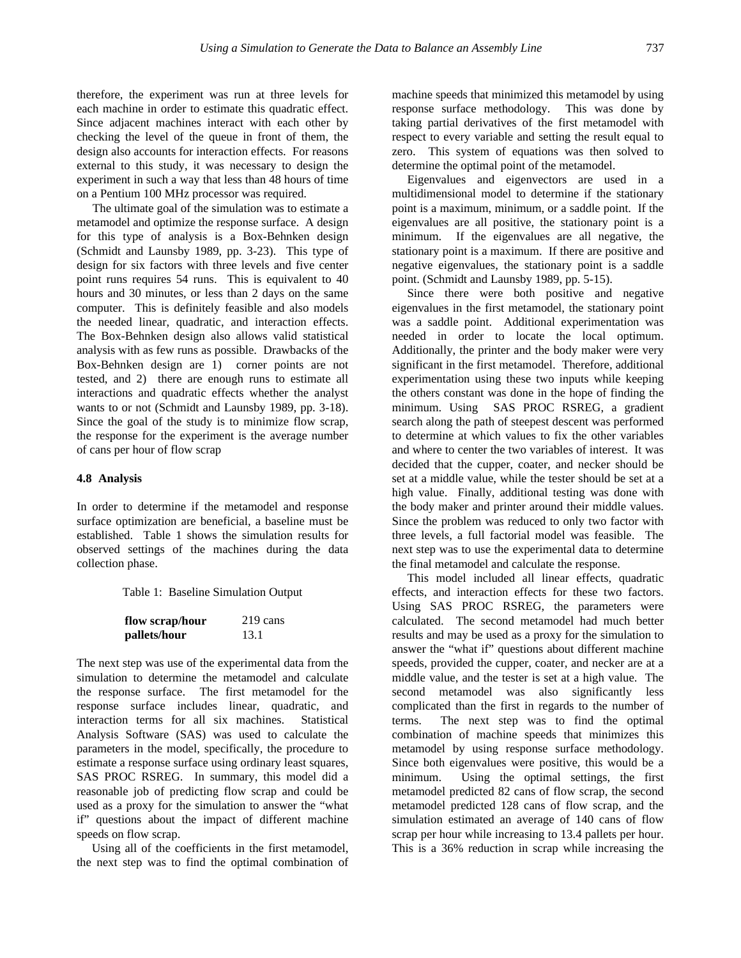therefore, the experiment was run at three levels for each machine in order to estimate this quadratic effect. Since adjacent machines interact with each other by checking the level of the queue in front of them, the design also accounts for interaction effects. For reasons external to this study, it was necessary to design the experiment in such a way that less than 48 hours of time on a Pentium 100 MHz processor was required.

 The ultimate goal of the simulation was to estimate a metamodel and optimize the response surface. A design for this type of analysis is a Box-Behnken design (Schmidt and Launsby 1989, pp. 3-23). This type of design for six factors with three levels and five center point runs requires 54 runs. This is equivalent to 40 hours and 30 minutes, or less than 2 days on the same computer. This is definitely feasible and also models the needed linear, quadratic, and interaction effects. The Box-Behnken design also allows valid statistical analysis with as few runs as possible. Drawbacks of the Box-Behnken design are 1) corner points are not tested, and 2) there are enough runs to estimate all interactions and quadratic effects whether the analyst wants to or not (Schmidt and Launsby 1989, pp. 3-18). Since the goal of the study is to minimize flow scrap, the response for the experiment is the average number of cans per hour of flow scrap

### **4.8 Analysis**

In order to determine if the metamodel and response surface optimization are beneficial, a baseline must be established. Table 1 shows the simulation results for observed settings of the machines during the data collection phase.

Table 1: Baseline Simulation Output

| flow scrap/hour | $219 \text{ cans}$ |
|-----------------|--------------------|
| pallets/hour    | 13.1               |

The next step was use of the experimental data from the simulation to determine the metamodel and calculate the response surface. The first metamodel for the response surface includes linear, quadratic, and interaction terms for all six machines. Statistical Analysis Software (SAS) was used to calculate the parameters in the model, specifically, the procedure to estimate a response surface using ordinary least squares, SAS PROC RSREG. In summary, this model did a reasonable job of predicting flow scrap and could be used as a proxy for the simulation to answer the "what if" questions about the impact of different machine speeds on flow scrap.

 Using all of the coefficients in the first metamodel, the next step was to find the optimal combination of machine speeds that minimized this metamodel by using response surface methodology. This was done by taking partial derivatives of the first metamodel with respect to every variable and setting the result equal to zero. This system of equations was then solved to determine the optimal point of the metamodel.

 Eigenvalues and eigenvectors are used in a multidimensional model to determine if the stationary point is a maximum, minimum, or a saddle point. If the eigenvalues are all positive, the stationary point is a minimum. If the eigenvalues are all negative, the stationary point is a maximum. If there are positive and negative eigenvalues, the stationary point is a saddle point. (Schmidt and Launsby 1989, pp. 5-15).

 Since there were both positive and negative eigenvalues in the first metamodel, the stationary point was a saddle point. Additional experimentation was needed in order to locate the local optimum. Additionally, the printer and the body maker were very significant in the first metamodel. Therefore, additional experimentation using these two inputs while keeping the others constant was done in the hope of finding the minimum. Using SAS PROC RSREG, a gradient search along the path of steepest descent was performed to determine at which values to fix the other variables and where to center the two variables of interest. It was decided that the cupper, coater, and necker should be set at a middle value, while the tester should be set at a high value. Finally, additional testing was done with the body maker and printer around their middle values. Since the problem was reduced to only two factor with three levels, a full factorial model was feasible. The next step was to use the experimental data to determine the final metamodel and calculate the response.

 This model included all linear effects, quadratic effects, and interaction effects for these two factors. Using SAS PROC RSREG, the parameters were calculated. The second metamodel had much better results and may be used as a proxy for the simulation to answer the "what if" questions about different machine speeds, provided the cupper, coater, and necker are at a middle value, and the tester is set at a high value. The second metamodel was also significantly less complicated than the first in regards to the number of terms. The next step was to find the optimal combination of machine speeds that minimizes this metamodel by using response surface methodology. Since both eigenvalues were positive, this would be a minimum. Using the optimal settings, the first metamodel predicted 82 cans of flow scrap, the second metamodel predicted 128 cans of flow scrap, and the simulation estimated an average of 140 cans of flow scrap per hour while increasing to 13.4 pallets per hour. This is a 36% reduction in scrap while increasing the